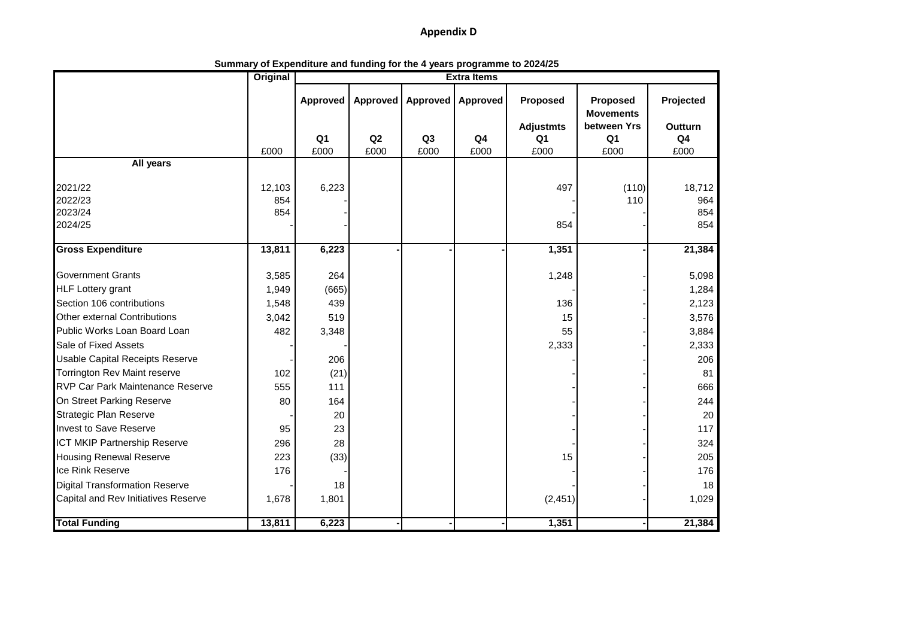## **Appendix D**

|                                         | Summary or Experience and funding for the 4 years programme to 2024/25 |                 |          |                 |          |                        |                                                   |                           |  |  |
|-----------------------------------------|------------------------------------------------------------------------|-----------------|----------|-----------------|----------|------------------------|---------------------------------------------------|---------------------------|--|--|
|                                         | <b>Extra Items</b><br>Original                                         |                 |          |                 |          |                        |                                                   |                           |  |  |
|                                         |                                                                        | <b>Approved</b> | Approved | <b>Approved</b> | Approved | Proposed               | Proposed                                          | Projected                 |  |  |
|                                         |                                                                        | Q <sub>1</sub>  | Q2       | Q <sub>3</sub>  | Q4       | <b>Adjustmts</b><br>Q1 | <b>Movements</b><br>between Yrs<br>Q <sub>1</sub> | Outturn<br>Q <sub>4</sub> |  |  |
|                                         | £000                                                                   | £000            | £000     | £000            | £000     | £000                   | £000                                              | £000                      |  |  |
| <b>All years</b>                        |                                                                        |                 |          |                 |          |                        |                                                   |                           |  |  |
| 2021/22                                 | 12,103                                                                 | 6,223           |          |                 |          | 497                    | (110)                                             | 18,712                    |  |  |
| 2022/23                                 | 854                                                                    |                 |          |                 |          |                        | 110                                               | 964                       |  |  |
| 2023/24                                 | 854                                                                    |                 |          |                 |          |                        |                                                   | 854                       |  |  |
| 2024/25                                 |                                                                        |                 |          |                 |          | 854                    |                                                   | 854                       |  |  |
| <b>Gross Expenditure</b>                | 13,811                                                                 | 6,223           |          |                 |          | 1,351                  |                                                   | 21,384                    |  |  |
| <b>Government Grants</b>                | 3,585                                                                  | 264             |          |                 |          | 1,248                  |                                                   | 5,098                     |  |  |
| <b>HLF Lottery grant</b>                | 1,949                                                                  | (665)           |          |                 |          |                        |                                                   | 1,284                     |  |  |
| Section 106 contributions               | 1,548                                                                  | 439             |          |                 |          | 136                    |                                                   | 2,123                     |  |  |
| Other external Contributions            | 3,042                                                                  | 519             |          |                 |          | 15                     |                                                   | 3,576                     |  |  |
| Public Works Loan Board Loan            | 482                                                                    | 3,348           |          |                 |          | 55                     |                                                   | 3,884                     |  |  |
| Sale of Fixed Assets                    |                                                                        |                 |          |                 |          | 2,333                  |                                                   | 2,333                     |  |  |
| <b>Usable Capital Receipts Reserve</b>  |                                                                        | 206             |          |                 |          |                        |                                                   | 206                       |  |  |
| Torrington Rev Maint reserve            | 102                                                                    | (21)            |          |                 |          |                        |                                                   | 81                        |  |  |
| <b>RVP Car Park Maintenance Reserve</b> | 555                                                                    | 111             |          |                 |          |                        |                                                   | 666                       |  |  |
| On Street Parking Reserve               | 80                                                                     | 164             |          |                 |          |                        |                                                   | 244                       |  |  |
| <b>Strategic Plan Reserve</b>           |                                                                        | 20              |          |                 |          |                        |                                                   | 20                        |  |  |
| Invest to Save Reserve                  | 95                                                                     | 23              |          |                 |          |                        |                                                   | 117                       |  |  |
| <b>ICT MKIP Partnership Reserve</b>     | 296                                                                    | 28              |          |                 |          |                        |                                                   | 324                       |  |  |
| <b>Housing Renewal Reserve</b>          | 223                                                                    | (33)            |          |                 |          | 15                     |                                                   | 205                       |  |  |
| Ice Rink Reserve                        | 176                                                                    |                 |          |                 |          |                        |                                                   | 176                       |  |  |
| <b>Digital Transformation Reserve</b>   |                                                                        | 18              |          |                 |          |                        |                                                   | 18                        |  |  |
| Capital and Rev Initiatives Reserve     | 1,678                                                                  | 1,801           |          |                 |          | (2, 451)               |                                                   | 1,029                     |  |  |
| <b>Total Funding</b>                    | 13,811                                                                 | 6,223           |          |                 |          | 1,351                  |                                                   | 21,384                    |  |  |

**Summary of Expenditure and funding for the 4 years programme to 2024/25**